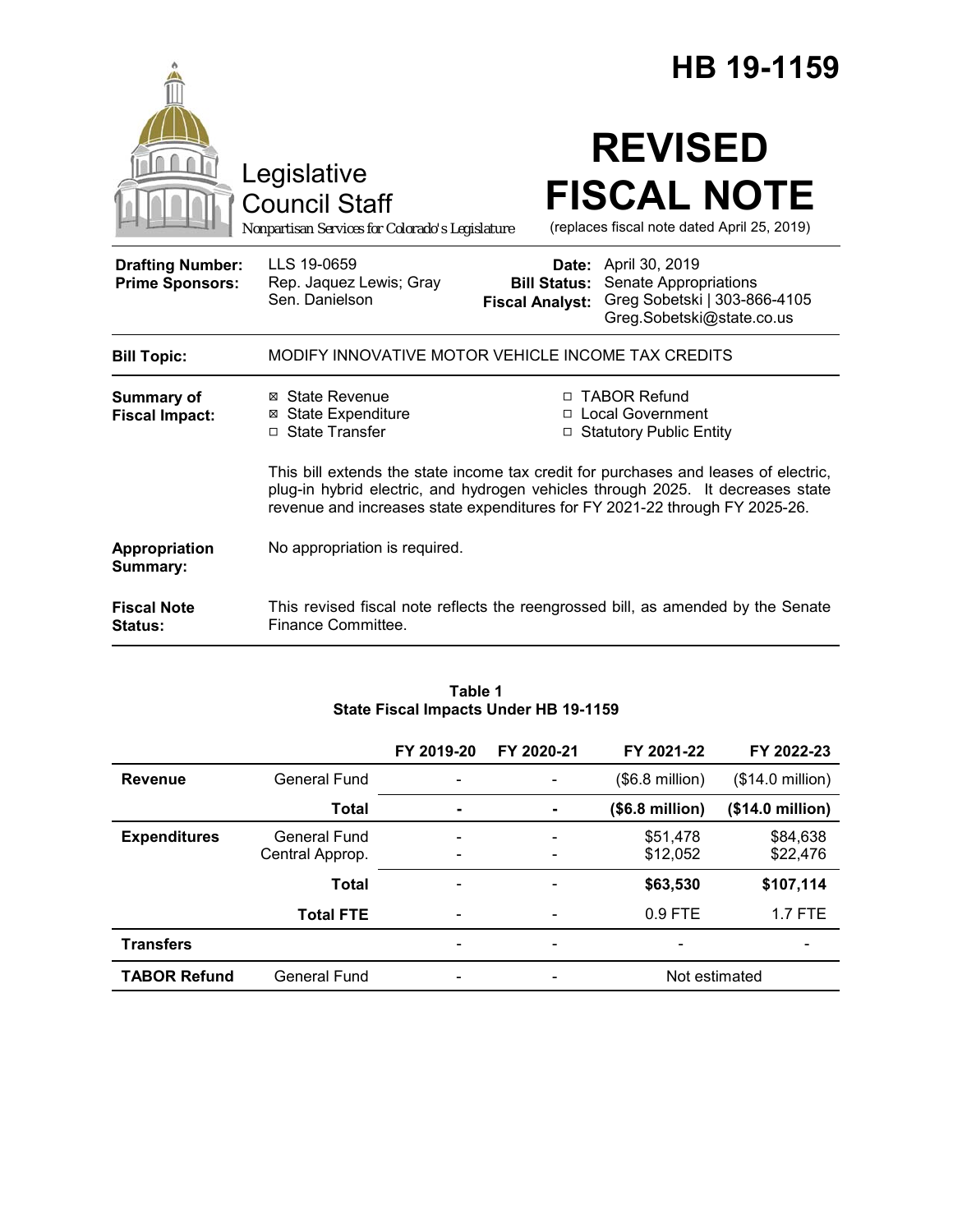|                                                   |                                                                                        |                                               | HB 19-1159                                                                                                                                                                                                                                            |
|---------------------------------------------------|----------------------------------------------------------------------------------------|-----------------------------------------------|-------------------------------------------------------------------------------------------------------------------------------------------------------------------------------------------------------------------------------------------------------|
|                                                   | Legislative<br><b>Council Staff</b><br>Nonpartisan Services for Colorado's Legislature |                                               | <b>REVISED</b><br><b>FISCAL NOTE</b><br>(replaces fiscal note dated April 25, 2019)                                                                                                                                                                   |
| <b>Drafting Number:</b><br><b>Prime Sponsors:</b> | LLS 19-0659<br>Rep. Jaquez Lewis; Gray<br>Sen. Danielson                               | <b>Bill Status:</b><br><b>Fiscal Analyst:</b> | <b>Date:</b> April 30, 2019<br>Senate Appropriations<br>Greg Sobetski   303-866-4105<br>Greg.Sobetski@state.co.us                                                                                                                                     |
| <b>Bill Topic:</b>                                | MODIFY INNOVATIVE MOTOR VEHICLE INCOME TAX CREDITS                                     |                                               |                                                                                                                                                                                                                                                       |
| <b>Summary of</b><br><b>Fiscal Impact:</b>        | ⊠ State Revenue<br><b>⊠ State Expenditure</b><br>□ State Transfer                      | □                                             | □ TABOR Refund<br>□ Local Government<br><b>Statutory Public Entity</b>                                                                                                                                                                                |
|                                                   |                                                                                        |                                               | This bill extends the state income tax credit for purchases and leases of electric,<br>plug-in hybrid electric, and hydrogen vehicles through 2025. It decreases state<br>revenue and increases state expenditures for FY 2021-22 through FY 2025-26. |
| Appropriation<br>Summary:                         | No appropriation is required.                                                          |                                               |                                                                                                                                                                                                                                                       |
| <b>Fiscal Note</b><br>Status:                     | Finance Committee.                                                                     |                                               | This revised fiscal note reflects the reengrossed bill, as amended by the Senate                                                                                                                                                                      |

|                     |                     | FY 2019-20                   | FY 2020-21                   | FY 2021-22               | FY 2022-23       |
|---------------------|---------------------|------------------------------|------------------------------|--------------------------|------------------|
| <b>Revenue</b>      | <b>General Fund</b> | ۰                            |                              | $($6.8 \text{ million})$ | (\$14.0 million) |
|                     | Total               | $\blacksquare$               |                              | (\$6.8 million)          | (\$14.0 million) |
| <b>Expenditures</b> | <b>General Fund</b> | $\qquad \qquad \blacksquare$ |                              | \$51,478                 | \$84,638         |
|                     | Central Approp.     | ۰                            |                              | \$12,052                 | \$22,476         |
|                     | <b>Total</b>        | $\overline{\phantom{0}}$     |                              | \$63,530                 | \$107,114        |
|                     | <b>Total FTE</b>    | ۰                            |                              | $0.9$ FTE                | $1.7$ FTE        |
| <b>Transfers</b>    |                     | -                            | -                            |                          |                  |
| <b>TABOR Refund</b> | <b>General Fund</b> | $\qquad \qquad \blacksquare$ | $\qquad \qquad \blacksquare$ | Not estimated            |                  |

### **Table 1 State Fiscal Impacts Under HB 19-1159**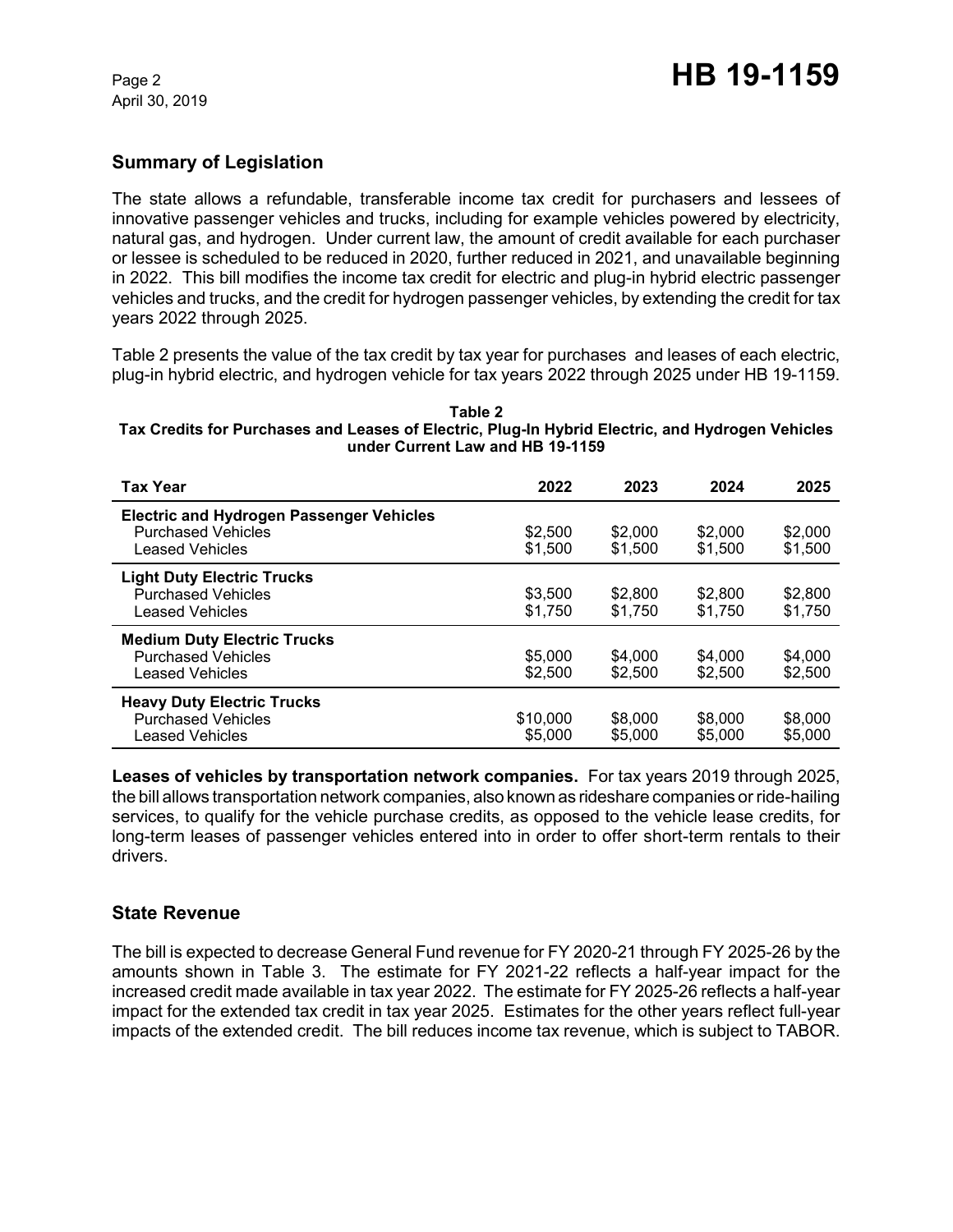# **Summary of Legislation**

The state allows a refundable, transferable income tax credit for purchasers and lessees of innovative passenger vehicles and trucks, including for example vehicles powered by electricity, natural gas, and hydrogen. Under current law, the amount of credit available for each purchaser or lessee is scheduled to be reduced in 2020, further reduced in 2021, and unavailable beginning in 2022. This bill modifies the income tax credit for electric and plug-in hybrid electric passenger vehicles and trucks, and the credit for hydrogen passenger vehicles, by extending the credit for tax years 2022 through 2025.

Table 2 presents the value of the tax credit by tax year for purchases and leases of each electric, plug-in hybrid electric, and hydrogen vehicle for tax years 2022 through 2025 under HB 19-1159.

#### **Table 2 Tax Credits for Purchases and Leases of Electric, Plug-In Hybrid Electric, and Hydrogen Vehicles under Current Law and HB 19-1159**

| <b>Tax Year</b>                                                                                        | 2022                | 2023               | 2024               | 2025               |
|--------------------------------------------------------------------------------------------------------|---------------------|--------------------|--------------------|--------------------|
| <b>Electric and Hydrogen Passenger Vehicles</b><br><b>Purchased Vehicles</b><br><b>Leased Vehicles</b> | \$2,500<br>\$1.500  | \$2,000<br>\$1,500 | \$2,000<br>\$1,500 | \$2,000<br>\$1,500 |
| <b>Light Duty Electric Trucks</b><br><b>Purchased Vehicles</b><br><b>Leased Vehicles</b>               | \$3.500<br>\$1,750  | \$2,800<br>\$1.750 | \$2,800<br>\$1.750 | \$2,800<br>\$1.750 |
| <b>Medium Duty Electric Trucks</b><br><b>Purchased Vehicles</b><br>Leased Vehicles                     | \$5,000<br>\$2,500  | \$4,000<br>\$2,500 | \$4,000<br>\$2.500 | \$4,000<br>\$2,500 |
| <b>Heavy Duty Electric Trucks</b><br><b>Purchased Vehicles</b><br>Leased Vehicles                      | \$10,000<br>\$5,000 | \$8,000<br>\$5,000 | \$8,000<br>\$5,000 | \$8,000<br>\$5,000 |

**Leases of vehicles by transportation network companies.** For tax years 2019 through 2025, the bill allows transportation network companies, also known as rideshare companies or ride-hailing services, to qualify for the vehicle purchase credits, as opposed to the vehicle lease credits, for long-term leases of passenger vehicles entered into in order to offer short-term rentals to their drivers.

# **State Revenue**

The bill is expected to decrease General Fund revenue for FY 2020-21 through FY 2025-26 by the amounts shown in Table 3. The estimate for FY 2021-22 reflects a half-year impact for the increased credit made available in tax year 2022. The estimate for FY 2025-26 reflects a half-year impact for the extended tax credit in tax year 2025. Estimates for the other years reflect full-year impacts of the extended credit. The bill reduces income tax revenue, which is subject to TABOR.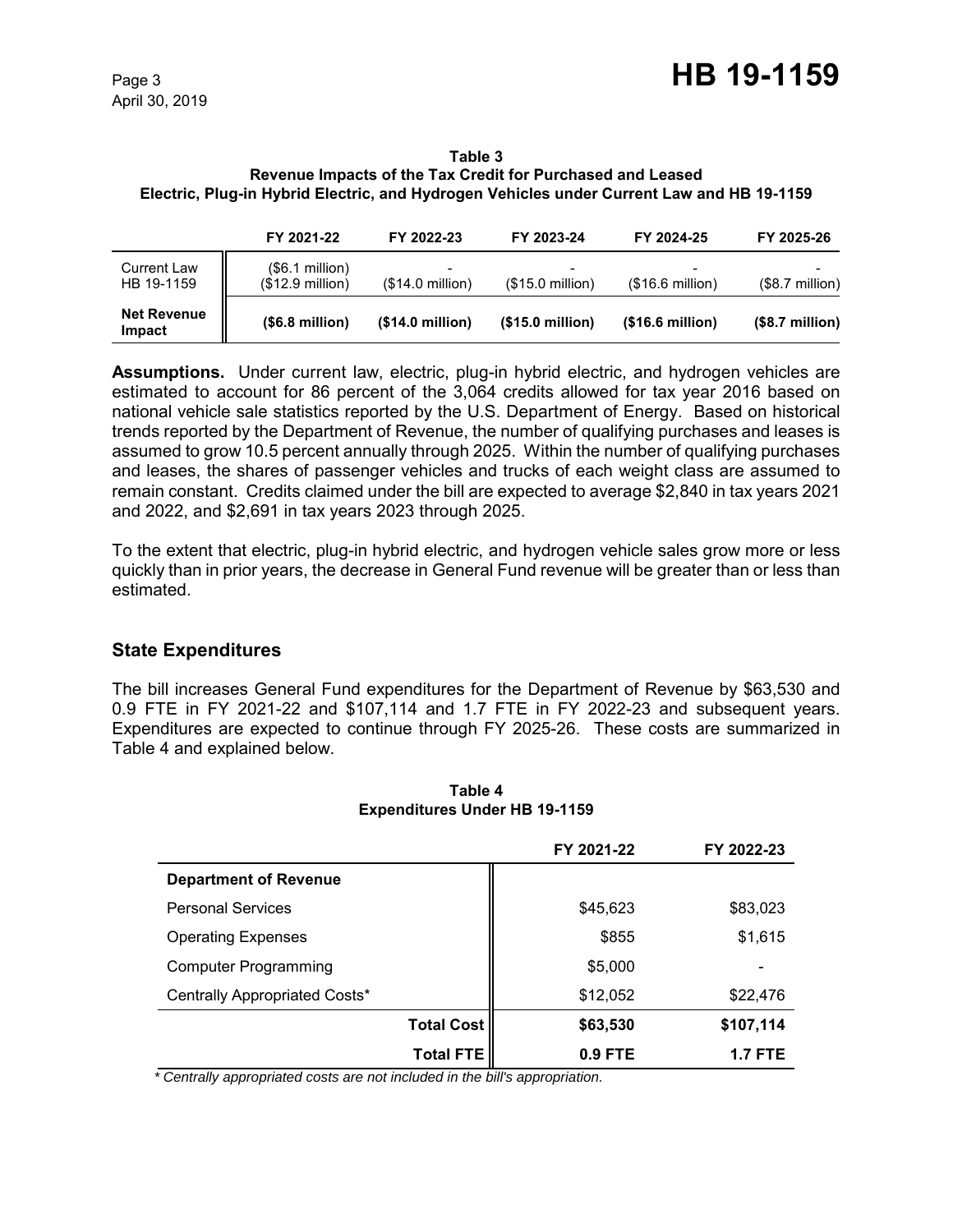#### **Table 3 Revenue Impacts of the Tax Credit for Purchased and Leased Electric, Plug-in Hybrid Electric, and Hydrogen Vehicles under Current Law and HB 19-1159**

|                                  | FY 2021-22                           | FY 2022-23                                            | FY 2023-24                | FY 2024-25       | FY 2025-26       |
|----------------------------------|--------------------------------------|-------------------------------------------------------|---------------------------|------------------|------------------|
| <b>Current Law</b><br>HB 19-1159 | (\$6.1 million)<br>$($12.9$ million) | $\overline{\phantom{0}}$<br>$($14.0 \text{ million})$ | $($15.0 \text{ million})$ | (\$16.6 million) | $($8.7$ million) |
| <b>Net Revenue</b><br>Impact     | (\$6.8 million)                      | (\$14.0 million)                                      | (\$15.0 million)          | (\$16.6 million) | $($8.7$ million) |

**Assumptions.** Under current law, electric, plug-in hybrid electric, and hydrogen vehicles are estimated to account for 86 percent of the 3,064 credits allowed for tax year 2016 based on national vehicle sale statistics reported by the U.S. Department of Energy. Based on historical trends reported by the Department of Revenue, the number of qualifying purchases and leases is assumed to grow 10.5 percent annually through 2025. Within the number of qualifying purchases and leases, the shares of passenger vehicles and trucks of each weight class are assumed to remain constant. Credits claimed under the bill are expected to average \$2,840 in tax years 2021 and 2022, and \$2,691 in tax years 2023 through 2025.

To the extent that electric, plug-in hybrid electric, and hydrogen vehicle sales grow more or less quickly than in prior years, the decrease in General Fund revenue will be greater than or less than estimated.

# **State Expenditures**

The bill increases General Fund expenditures for the Department of Revenue by \$63,530 and 0.9 FTE in FY 2021-22 and \$107,114 and 1.7 FTE in FY 2022-23 and subsequent years. Expenditures are expected to continue through FY 2025-26. These costs are summarized in Table 4 and explained below.

|                               |                   | FY 2021-22 | FY 2022-23     |
|-------------------------------|-------------------|------------|----------------|
| <b>Department of Revenue</b>  |                   |            |                |
| <b>Personal Services</b>      |                   | \$45,623   | \$83,023       |
| <b>Operating Expenses</b>     |                   | \$855      | \$1,615        |
| <b>Computer Programming</b>   |                   | \$5,000    |                |
| Centrally Appropriated Costs* |                   | \$12,052   | \$22,476       |
|                               | <b>Total Cost</b> | \$63,530   | \$107,114      |
|                               | <b>Total FTE</b>  | 0.9 FTE    | <b>1.7 FTE</b> |

### **Table 4 Expenditures Under HB 19-1159**

 *\* Centrally appropriated costs are not included in the bill's appropriation.*